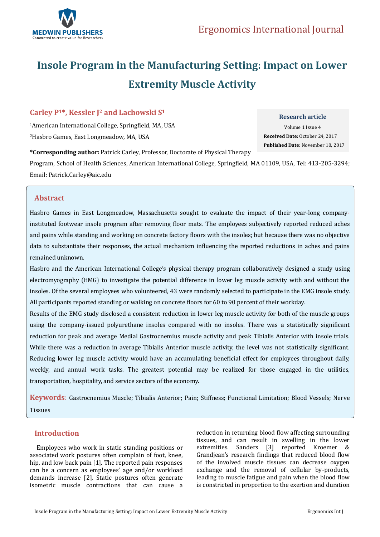

# **Insole Program in the Manufacturing Setting: Impact on Lower Extremity Muscle Activity**

# **Carley P1\*, Kessler J<sup>2</sup> and Lachowski S<sup>1</sup>**

<sup>1</sup>American International College, Springfield, MA, USA <sup>2</sup>Hasbro Games, East Longmeadow, MA, USA

**\*Corresponding author:** Patrick Carley, Professor, Doctorate of Physical Therapy

Program, School of Health Sciences, American International College, Springfield, MA 01109, USA, Tel: 413-205-3294; Email[: Patrick.Carley@aic.edu](mailto:Patrick.Carley@aic.edu)

# **Abstract**

Hasbro Games in East Longmeadow, Massachusetts sought to evaluate the impact of their year-long companyinstituted footwear insole program after removing floor mats. The employees subjectively reported reduced aches and pains while standing and working on concrete factory floors with the insoles; but because there was no objective data to substantiate their responses, the actual mechanism influencing the reported reductions in aches and pains remained unknown.

Hasbro and the American International College's physical therapy program collaboratively designed a study using electromyography (EMG) to investigate the potential difference in lower leg muscle activity with and without the insoles. Of the several employees who volunteered, 43 were randomly selected to participate in the EMG insole study. All participants reported standing or walking on concrete floors for 60 to 90 percent of their workday.

Results of the EMG study disclosed a consistent reduction in lower leg muscle activity for both of the muscle groups using the company-issued polyurethane insoles compared with no insoles. There was a statistically significant reduction for peak and average Medial Gastrocnemius muscle activity and peak Tibialis Anterior with insole trials. While there was a reduction in average Tibialis Anterior muscle activity, the level was not statistically significant. Reducing lower leg muscle activity would have an accumulating beneficial effect for employees throughout daily, weekly, and annual work tasks. The greatest potential may be realized for those engaged in the utilities, transportation, hospitality, and service sectors of the economy.

**Keywords**: Gastrocnemius Muscle; Tibialis Anterior; Pain; Stiffness; Functional Limitation; Blood Vessels; Nerve **Tissues** 

# **Introduction**

 Employees who work in static standing positions or associated work postures often complain of foot, knee, hip, and low back pain [1]. The reported pain responses can be a concern as employees' age and/or workload demands increase [2]. Static postures often generate isometric muscle contractions that can cause a reduction in returning blood flow affecting surrounding tissues, and can result in swelling in the lower extremities. Sanders [3] reported Kroemer & Grandjean's research findings that reduced blood flow of the involved muscle tissues can decrease oxygen exchange and the removal of cellular by-products, leading to muscle fatigue and pain when the blood flow is constricted in proportion to the exertion and duration

#### **Research article**

Volume 1 Issue 4  **Received Date:** October 24, 2017  **Published Date:** November 10, 2017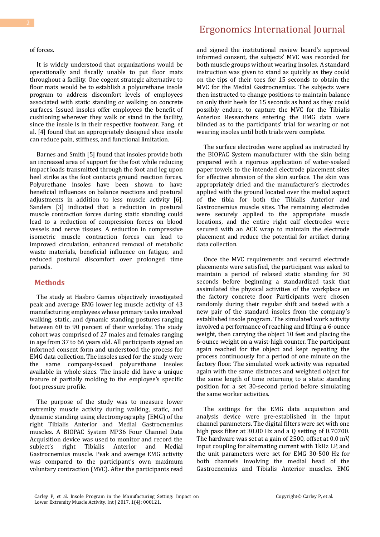#### of forces.

 It is widely understood that organizations would be operationally and fiscally unable to put floor mats throughout a facility. One cogent strategic alternative to floor mats would be to establish a polyurethane insole program to address discomfort levels of employees associated with static standing or walking on concrete surfaces. Issued insoles offer employees the benefit of cushioning wherever they walk or stand in the facility, since the insole is in their respective footwear. Fang, et al. [4] found that an appropriately designed shoe insole can reduce pain, stiffness, and functional limitation.

 Barnes and Smith [5] found that insoles provide both an increased area of support for the foot while reducing impact loads transmitted through the foot and leg upon heel strike as the foot contacts ground reaction forces. Polyurethane insoles have been shown to have beneficial influences on balance reactions and postural adjustments in addition to less muscle activity [6]. Sanders [3] indicated that a reduction in postural muscle contraction forces during static standing could lead to a reduction of compression forces on blood vessels and nerve tissues. A reduction in compressive isometric muscle contraction forces can lead to improved circulation, enhanced removal of metabolic waste materials, beneficial influence on fatigue, and reduced postural discomfort over prolonged time periods.

#### **Methods**

 The study at Hasbro Games objectively investigated peak and average EMG lower leg muscle activity of 43 manufacturing employees whose primary tasks involved walking, static, and dynamic standing postures ranging between 60 to 90 percent of their workday. The study cohort was comprised of 27 males and females ranging in age from 37 to 66 years old. All participants signed an informed consent form and understood the process for EMG data collection. The insoles used for the study were the same company-issued polyurethane insoles available in whole sizes. The insole did have a unique feature of partially molding to the employee's specific foot pressure profile.

 The purpose of the study was to measure lower extremity muscle activity during walking, static, and dynamic standing using electromyography (EMG) of the right Tibialis Anterior and Medial Gastrocnemius muscles. A BIOPAC System MP36 Four Channel Data Acquisition device was used to monitor and record the subject's right Tibialis Anterior and Medial Gastrocnemius muscle. Peak and average EMG activity was compared to the participant's own maximum voluntary contraction (MVC). After the participants read

# Ergonomics International Journal

and signed the institutional review board's approved informed consent, the subjects' MVC was recorded for both muscle groups without wearing insoles. A standard instruction was given to stand as quickly as they could on the tips of their toes for 15 seconds to obtain the MVC for the Medial Gastrocnemius. The subjects were then instructed to change positions to maintain balance on only their heels for 15 seconds as hard as they could possibly endure, to capture the MVC for the Tibialis Anterior. Researchers entering the EMG data were blinded as to the participants' trial for wearing or not wearing insoles until both trials were complete.

 The surface electrodes were applied as instructed by the BIOPAC System manufacturer with the skin being prepared with a rigorous application of water-soaked paper towels to the intended electrode placement sites for effective abrasion of the skin surface. The skin was appropriately dried and the manufacturer's electrodes applied with the ground located over the medial aspect of the tibia for both the Tibialis Anterior and Gastrocnemius muscle sites. The remaining electrodes were securely applied to the appropriate muscle locations, and the entire right calf electrodes were secured with an ACE wrap to maintain the electrode placement and reduce the potential for artifact during data collection.

 Once the MVC requirements and secured electrode placements were satisfied, the participant was asked to maintain a period of relaxed static standing for 30 seconds before beginning a standardized task that assimilated the physical activities of the workplace on the factory concrete floor. Participants were chosen randomly during their regular shift and tested with a new pair of the standard insoles from the company's established insole program. The simulated work activity involved a performance of reaching and lifting a 6-ounce weight, then carrying the object 10 feet and placing the 6-ounce weight on a waist-high counter. The participant again reached for the object and kept repeating the process continuously for a period of one minute on the factory floor. The simulated work activity was repeated again with the same distances and weighted object for the same length of time returning to a static standing position for a set 30-second period before simulating the same worker activities.

 The settings for the EMG data acquisition and analysis device were pre-established in the input channel parameters. The digital filters were set with one high pass filter at 30.00 Hz and a Q setting of 0.70700. The hardware was set at a gain of 2500, offset at 0.0 mV, input coupling for alternating current with 1kHz LP, and the unit parameters were set for EMG 30-500 Hz for both channels involving the medial head of the Gastrocnemius and Tibialis Anterior muscles. EMG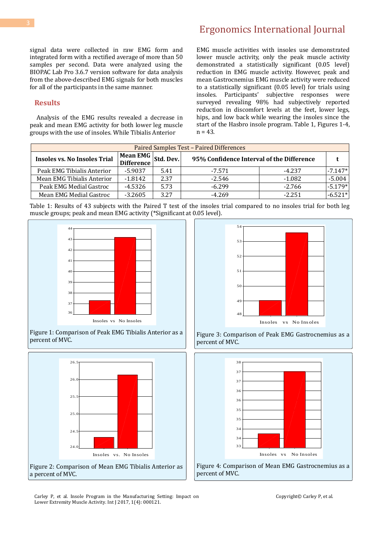# Ergonomics International Journal

signal data were collected in raw EMG form and integrated form with a rectified average of more than 50 samples per second. Data were analyzed using the BIOPAC Lab Pro 3.6.7 version software for data analysis from the above-described EMG signals for both muscles for all of the participants in the same manner.

### **Results**

 Analysis of the EMG results revealed a decrease in peak and mean EMG activity for both lower leg muscle groups with the use of insoles. While Tibialis Anterior

EMG muscle activities with insoles use demonstrated lower muscle activity, only the peak muscle activity demonstrated a statistically significant (0.05 level) reduction in EMG muscle activity. However, peak and mean Gastrocnemius EMG muscle activity were reduced to a statistically significant (0.05 level) for trials using insoles. Participants' subjective responses were surveyed revealing 98% had subjectively reported reduction in discomfort levels at the feet, lower legs, hips, and low back while wearing the insoles since the start of the Hasbro insole program. Table 1, Figures 1-4,  $n = 43.$ 

| <b>Paired Samples Test - Paired Differences</b> |                        |           |                                           |          |           |
|-------------------------------------------------|------------------------|-----------|-------------------------------------------|----------|-----------|
| <b>Insoles vs. No Insoles Trial</b>             | Mean EMG<br>Difference | Std. Dev. | 95% Confidence Interval of the Difference |          |           |
| Peak EMG Tibialis Anterior                      | $-5.9037$              | 5.41      | -7.571                                    | $-4.237$ | $-7.147*$ |
| Mean EMG Tibialis Anterior                      | $-1.8142$              | 2.37      | $-2.546$                                  | $-1.082$ | $-5.004$  |
| Peak EMG Medial Gastroc                         | $-4.5326$              | 5.73      | $-6.299$                                  | $-2.766$ | $-5.179*$ |
| Mean EMG Medial Gastroc                         | $-3.2605$              | 3.27      | $-4.269$                                  | $-2.251$ | $-6.521*$ |

Table 1: Results of 43 subjects with the Paired T test of the insoles trial compared to no insoles trial for both leg muscle groups; peak and mean EMG activity (\*Significant at 0.05 level).

Percent of MVC









Figure 3: Comparison of Peak EMG Gastrocnemius as a percent of MVC.



Figure 4: Comparison of Mean EMG Gastrocnemius as a percent of MVC.

Carley P, et al. Insole Program in the Manufacturing Setting: Impact on Lower Extremity Muscle Activity. Int J 2017, 1(4): 000121.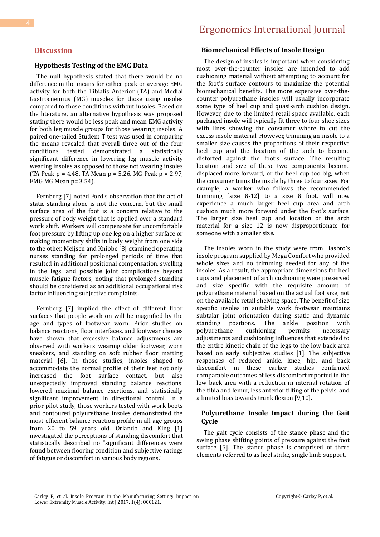#### **Discussion**

#### **Hypothesis Testing of the EMG Data**

 The null hypothesis stated that there would be no difference in the means for either peak or average EMG activity for both the Tibialis Anterior (TA) and Medial Gastrocnemius (MG) muscles for those using insoles compared to those conditions without insoles. Based on the literature, an alternative hypothesis was proposed stating there would be less peak and mean EMG activity for both leg muscle groups for those wearing insoles. A paired one-tailed Student T test was used in comparing the means revealed that overall three out of the four conditions tested demonstrated a statistically significant difference in lowering leg muscle activity wearing insoles as opposed to those not wearing insoles (TA Peak  $p = 4.48$ , TA Mean  $p = 5.26$ , MG Peak  $p = 2.97$ , EMG MG Mean  $p = 3.54$ ).

 Fernberg [7] noted Ford's observation that the act of static standing alone is not the concern, but the small surface area of the foot is a concern relative to the pressure of body weight that is applied over a standard work shift. Workers will compensate for uncomfortable foot pressure by lifting up one leg on a higher surface or making momentary shifts in body weight from one side to the other. Meijsen and Knibbe [8] examined operating nurses standing for prolonged periods of time that resulted in additional positional compensation, swelling in the legs, and possible joint complications beyond muscle fatigue factors, noting that prolonged standing should be considered as an additional occupational risk factor influencing subjective complaints.

 Fernberg [7] implied the effect of different floor surfaces that people work on will be magnified by the age and types of footwear worn. Prior studies on balance reactions, floor interfaces, and footwear choices have shown that excessive balance adjustments are observed with workers wearing older footwear, worn sneakers, and standing on soft rubber floor matting material [6]. In those studies, insoles shaped to accommodate the normal profile of their feet not only increased the foot surface contact, but also unexpectedly improved standing balance reactions, lowered maximal balance exertions, and statistically significant improvement in directional control. In a prior pilot study, those workers tested with work boots and contoured polyurethane insoles demonstrated the most efficient balance reaction profile in all age groups from 20 to 59 years old. Orlando and King [1] investigated the perceptions of standing discomfort that statistically described no "significant differences were found between flooring condition and subjective ratings of fatigue or discomfort in various body regions."

#### **Biomechanical Effects of Insole Design**

 The design of insoles is important when considering most over-the-counter insoles are intended to add cushioning material without attempting to account for the foot's surface contours to maximize the potential biomechanical benefits. The more expensive over-thecounter polyurethane insoles will usually incorporate some type of heel cup and quasi-arch cushion design. However, due to the limited retail space available, each packaged insole will typically fit three to four shoe sizes with lines showing the consumer where to cut the excess insole material. However, trimming an insole to a smaller size causes the proportions of their respective heel cup and the location of the arch to become distorted against the foot's surface. The resulting location and size of these two components become displaced more forward, or the heel cup too big, when the consumer trims the insole by three to four sizes. For example, a worker who follows the recommended trimming [size 8-12] to a size 8 foot, will now experience a much larger heel cup area and arch cushion much more forward under the foot's surface. The larger size heel cup and location of the arch material for a size 12 is now disproportionate for someone with a smaller size.

 The insoles worn in the study were from Hasbro's insole program supplied by Mega Comfort who provided whole sizes and no trimming needed for any of the insoles. As a result, the appropriate dimensions for heel cups and placement of arch cushioning were preserved and size specific with the requisite amount of polyurethane material based on the actual foot size, not on the available retail shelving space. The benefit of size specific insoles in suitable work footwear maintains subtalar joint orientation during static and dynamic<br>standing positions. The ankle position with standing positions. The ankle position with polyurethane cushioning permits necessary adjustments and cushioning influences that extended to the entire kinetic chain of the legs to the low back area based on early subjective studies [1]. The subjective responses of reduced ankle, knee, hip, and back discomfort in these earlier studies confirmed comparable outcomes of less discomfort reported in the low back area with a reduction in internal rotation of the tibia and femur, less anterior tilting of the pelvis, and a limited bias towards trunk flexion [9,10].

#### **Polyurethane Insole Impact during the Gait Cycle**

 The gait cycle consists of the stance phase and the swing phase shifting points of pressure against the foot surface [5]. The stance phase is comprised of three elements referred to as heel strike, single limb support,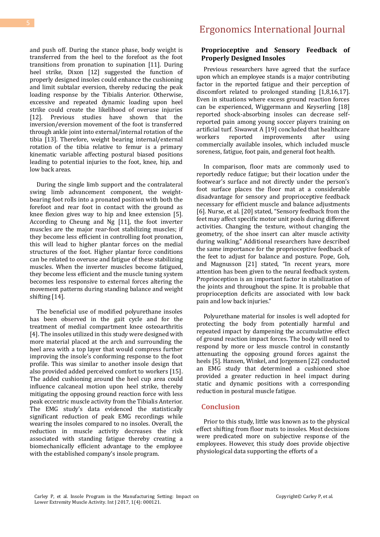and push off. During the stance phase, body weight is transferred from the heel to the forefoot as the foot transitions from pronation to supination [11]. During heel strike, Dixon [12] suggested the function of properly designed insoles could enhance the cushioning and limit subtalar eversion, thereby reducing the peak loading response by the Tibialis Anterior. Otherwise, excessive and repeated dynamic loading upon heel strike could create the likelihood of overuse injuries [12]. Previous studies have shown that the inversion/eversion movement of the foot is transferred through ankle joint into external/internal rotation of the tibia [13]. Therefore, weight bearing internal/external rotation of the tibia relative to femur is a primary kinematic variable affecting postural biased positions leading to potential injuries to the foot, knee, hip, and low back areas.

 During the single limb support and the contralateral swing limb advancement component, the weightbearing foot rolls into a pronated position with both the forefoot and rear foot in contact with the ground as knee flexion gives way to hip and knee extension [5]. According to Cheung and Ng [11], the foot inverter muscles are the major rear-foot stabilizing muscles; if they become less efficient in controlling foot pronation, this will lead to higher plantar forces on the medial structures of the foot. Higher plantar force conditions can be related to overuse and fatigue of these stabilizing muscles. When the inverter muscles become fatigued, they become less efficient and the muscle tuning system becomes less responsive to external forces altering the movement patterns during standing balance and weight shifting [14].

 The beneficial use of modified polyurethane insoles has been observed in the gait cycle and for the treatment of medial compartment knee osteoarthritis [4]. The insoles utilized in this study were designed with more material placed at the arch and surrounding the heel area with a top layer that would compress further improving the insole's conforming response to the foot profile. This was similar to another insole design that also provided added perceived comfort to workers [15]. The added cushioning around the heel cup area could influence calcaneal motion upon heel strike, thereby mitigating the opposing ground reaction force with less peak eccentric muscle activity from the Tibialis Anterior. The EMG study's data evidenced the statistically significant reduction of peak EMG recordings while wearing the insoles compared to no insoles. Overall, the reduction in muscle activity decreases the risk associated with standing fatigue thereby creating a biomechanically efficient advantage to the employee with the established company's insole program.

## **Proprioceptive and Sensory Feedback of Properly Designed Insoles**

 Previous researchers have agreed that the surface upon which an employee stands is a major contributing factor in the reported fatigue and their perception of discomfort related to prolonged standing [1,8,16,17]. Even in situations where excess ground reaction forces can be experienced, Wiggermann and Keyserling [18] reported shock-absorbing insoles can decrease selfreported pain among young soccer players training on artificial turf. Siwawut A [19] concluded that healthcare reported improvements after using commercially available insoles, which included muscle soreness, fatigue, foot pain, and general foot health.

 In comparison, floor mats are commonly used to reportedly reduce fatigue; but their location under the footwear's surface and not directly under the person's foot surface places the floor mat at a considerable disadvantage for sensory and proprioceptive feedback necessary for efficient muscle and balance adjustments [6]. Nurse, et al. [20] stated, "Sensory feedback from the feet may affect specific motor unit pools during different activities. Changing the texture, without changing the geometry, of the shoe insert can alter muscle activity during walking." Additional researchers have described the same importance for the proprioceptive feedback of the feet to adjust for balance and posture. Pope, Goh, and Magnusson [21] stated, "In recent years, more attention has been given to the neural feedback system. Proprioception is an important factor in stabilization of the joints and throughout the spine. It is probable that proprioception deficits are associated with low back pain and low back injuries."

 Polyurethane material for insoles is well adopted for protecting the body from potentially harmful and repeated impact by dampening the accumulative effect of ground reaction impact forces. The body will need to respond by more or less muscle control in constantly attenuating the opposing ground forces against the heels [5]. Hansen, Winkel, and Jorgensen [22] conducted an EMG study that determined a cushioned shoe provided a greater reduction in heel impact during static and dynamic positions with a corresponding reduction in postural muscle fatigue.

### **Conclusion**

 Prior to this study, little was known as to the physical effect shifting from floor mats to insoles. Most decisions were predicated more on subjective response of the employees. However, this study does provide objective physiological data supporting the efforts of a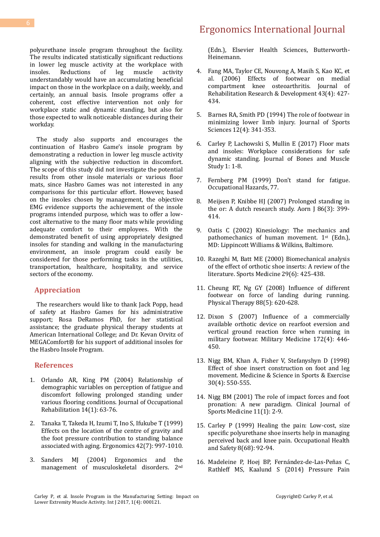polyurethane insole program throughout the facility. The results indicated statistically significant reductions in lower leg muscle activity at the workplace with insoles. Reductions of leg muscle activity understandably would have an accumulating beneficial impact on those in the workplace on a daily, weekly, and certainly, an annual basis. Insole programs offer a coherent, cost effective intervention not only for workplace static and dynamic standing, but also for those expected to walk noticeable distances during their workday.

 The study also supports and encourages the continuation of Hasbro Game's insole program by demonstrating a reduction in lower leg muscle activity aligning with the subjective reduction in discomfort. The scope of this study did not investigate the potential results from other insole materials or various floor mats, since Hasbro Games was not interested in any comparisons for this particular effort. However, based on the insoles chosen by management, the objective EMG evidence supports the achievement of the insole programs intended purpose, which was to offer a lowcost alternative to the many floor mats while providing adequate comfort to their employees. With the demonstrated benefit of using appropriately designed insoles for standing and walking in the manufacturing environment, an insole program could easily be considered for those performing tasks in the utilities, transportation, healthcare, hospitality, and service sectors of the economy.

### **Appreciation**

 The researchers would like to thank Jack Popp, head of safety at Hasbro Games for his administrative support; Rosa DeRamos PhD, for her statistical assistance; the graduate physical therapy students at American International College; and Dr. Kevan Orvitz of MEGAComfort® for his support of additional insoles for the Hasbro Insole Program.

#### **References**

- 1. [Orlando AR, King PM \(2004\) Relationship of](https://www.ncbi.nlm.nih.gov/pubmed/15055504)  [demographic variables on perception of fatigue and](https://www.ncbi.nlm.nih.gov/pubmed/15055504)  [discomfort following prolonged standing under](https://www.ncbi.nlm.nih.gov/pubmed/15055504)  [various flooring conditions. Journal of Occupational](https://www.ncbi.nlm.nih.gov/pubmed/15055504)  [Rehabilitation 14\(1\): 63-76.](https://www.ncbi.nlm.nih.gov/pubmed/15055504)
- 2. [Tanaka T, Takeda H, Izumi T, Ino S, Ifukube T \(1999\)](https://www.ncbi.nlm.nih.gov/pubmed/10424187)  [Effects on the location of the centre of gravity and](https://www.ncbi.nlm.nih.gov/pubmed/10424187)  [the foot pressure contribution to standing balance](https://www.ncbi.nlm.nih.gov/pubmed/10424187)  [associated with aging. Ergonomics 42\(7\): 997-1010.](https://www.ncbi.nlm.nih.gov/pubmed/10424187)
- 3. [Sanders MJ \(2004\) Ergonomics and the](https://www.elsevier.com/books/ergonomics-and-the-management-of-musculoskeletal-disorders/sanders/978-0-7506-7409-6)  [management of musculoskeletal disorders. 2](https://www.elsevier.com/books/ergonomics-and-the-management-of-musculoskeletal-disorders/sanders/978-0-7506-7409-6)nd

# Ergonomics International Journal

[\(Edn.\), Elsevier Health Sciences, Butterworth-](https://www.elsevier.com/books/ergonomics-and-the-management-of-musculoskeletal-disorders/sanders/978-0-7506-7409-6)[Heinemann.](https://www.elsevier.com/books/ergonomics-and-the-management-of-musculoskeletal-disorders/sanders/978-0-7506-7409-6)

- 4. [Fang MA, Taylor CE, Nouvong A, Masih S, Kao KC, et](https://www.ncbi.nlm.nih.gov/pubmed/17123182)  [al. \(2006\) Effects of footwear on medial](https://www.ncbi.nlm.nih.gov/pubmed/17123182)  [compartment knee osteoarthritis. Journal of](https://www.ncbi.nlm.nih.gov/pubmed/17123182)  [Rehabilitation Research & Development 43\(4\): 427-](https://www.ncbi.nlm.nih.gov/pubmed/17123182) [434.](https://www.ncbi.nlm.nih.gov/pubmed/17123182)
- 5. [Barnes RA, Smith PD \(1994\) The role of footwear in](https://www.ncbi.nlm.nih.gov/pubmed/7932944) [minimizing lower limb injury. Journal of Sports](https://www.ncbi.nlm.nih.gov/pubmed/7932944)  [Sciences 12\(4\): 341-353.](https://www.ncbi.nlm.nih.gov/pubmed/7932944)
- 6. [Carley P, Lachowski S, Mullin E \(2017\) Floor mats](https://norcaloa.com/BOMS/article-in-press/BOMS-101011)  [and insoles: Workplace considerations for safe](https://norcaloa.com/BOMS/article-in-press/BOMS-101011)  [dynamic standing. Journal of Bones and Muscle](https://norcaloa.com/BOMS/article-in-press/BOMS-101011)  [Study 1: 1-8.](https://norcaloa.com/BOMS/article-in-press/BOMS-101011)
- 7. [Fernberg PM \(1999\) Don't stand for fatigue.](https://www.questia.com/magazine/1G1-63796098/don-t-stand-for-fatigue)  [Occupational Hazards, 77.](https://www.questia.com/magazine/1G1-63796098/don-t-stand-for-fatigue)
- 8. [Meijsen P, Knibbe HJ \(2007\) Prolonged standing in](https://www.ncbi.nlm.nih.gov/pubmed/17822644)  [the or: A dutch research study. Aorn J 86\(3\): 399-](https://www.ncbi.nlm.nih.gov/pubmed/17822644) [414.](https://www.ncbi.nlm.nih.gov/pubmed/17822644)
- 9. Oatis C (2002) Kinesiology: The mechanics and pathomechanics of human movement. 1<sup>st</sup> (Edn.), MD: Lippincott Williams & Wilkins, Baltimore.
- 10. [Razeghi M, Batt ME \(2000\) Biomechanical analysis](https://www.ncbi.nlm.nih.gov/pubmed/10870868)  [of the effect of orthotic shoe inserts: A review of the](https://www.ncbi.nlm.nih.gov/pubmed/10870868)  [literature. Sports Medicine 29\(6\): 425-438.](https://www.ncbi.nlm.nih.gov/pubmed/10870868)
- 11. [Cheung RT, Ng GY \(2008\) Influence of different](https://www.ncbi.nlm.nih.gov/pubmed/18276937)  [footwear on force of landing during running.](https://www.ncbi.nlm.nih.gov/pubmed/18276937)  [Physical Therapy 88\(5\): 620-628.](https://www.ncbi.nlm.nih.gov/pubmed/18276937)
- 12. [Dixon S \(2007\) Influence of a commercially](https://www.ncbi.nlm.nih.gov/pubmed/17484322)  [available orthotic device on rearfoot eversion and](https://www.ncbi.nlm.nih.gov/pubmed/17484322)  [vertical ground reaction force when running in](https://www.ncbi.nlm.nih.gov/pubmed/17484322)  [military footwear. Military Medicine 172\(4\): 446-](https://www.ncbi.nlm.nih.gov/pubmed/17484322) [450.](https://www.ncbi.nlm.nih.gov/pubmed/17484322)
- 13. [Nigg BM, Khan A, Fisher V, Stefanyshyn D \(1998\)](https://www.ncbi.nlm.nih.gov/pubmed/9565937)  [Effect of shoe insert construction on foot and leg](https://www.ncbi.nlm.nih.gov/pubmed/9565937)  [movement. Medicine & Science in Sports & Exercise](https://www.ncbi.nlm.nih.gov/pubmed/9565937)  [30\(4\): 550-555.](https://www.ncbi.nlm.nih.gov/pubmed/9565937)
- 14. [Nigg BM \(2001\) The role of impact forces and foot](https://www.ncbi.nlm.nih.gov/pubmed/11176139)  [pronation: A new paradigm. Clinical Journal of](https://www.ncbi.nlm.nih.gov/pubmed/11176139)  [Sports Medicine 11\(1\): 2-9.](https://www.ncbi.nlm.nih.gov/pubmed/11176139)
- 15. Carley P (1999) Healing the pain: Low-cost, size specific polyurethane shoe inserts help in managing perceived back and knee pain. Occupational Health and Safety 8(68): 92-94.
- 16. [Madeleine P, Hoej BP, Fernández-de-Las-Peñas C,](https://www.ncbi.nlm.nih.gov/pubmed/25029914)  [Rathleff MS, Kaalund S \(2014\) Pressure Pain](https://www.ncbi.nlm.nih.gov/pubmed/25029914)

Carley P, et al. Insole Program in the Manufacturing Setting: Impact on Lower Extremity Muscle Activity. Int J 2017, 1(4): 000121.